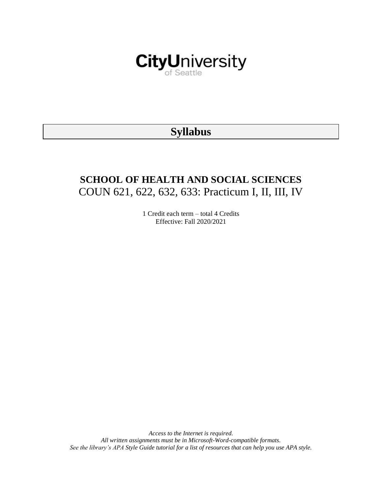

# **Syllabus**

# **SCHOOL OF HEALTH AND SOCIAL SCIENCES** COUN 621, 622, 632, 633: Practicum I, II, III, IV

1 Credit each term – total 4 Credits Effective: Fall 2020/2021

*Access to the Internet is required. All written assignments must be in Microsoft-Word-compatible formats. See the library's APA Style Guide tutorial for a list of resources that can help you use APA style.*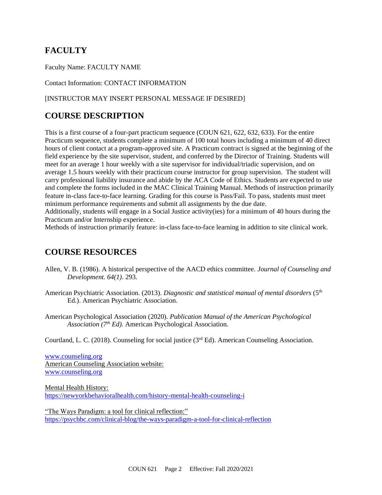# **FACULTY**

Faculty Name: FACULTY NAME

Contact Information: CONTACT INFORMATION

## [INSTRUCTOR MAY INSERT PERSONAL MESSAGE IF DESIRED]

# **COURSE DESCRIPTION**

This is a first course of a four-part practicum sequence (COUN 621, 622, 632, 633). For the entire Practicum sequence, students complete a minimum of 100 total hours including a minimum of 40 direct hours of client contact at a program-approved site. A Practicum contract is signed at the beginning of the field experience by the site supervisor, student, and conferred by the Director of Training. Students will meet for an average 1 hour weekly with a site supervisor for individual/triadic supervision, and on average 1.5 hours weekly with their practicum course instructor for group supervision. The student will carry professional liability insurance and abide by the ACA Code of Ethics. Students are expected to use and complete the forms included in the MAC Clinical Training Manual. Methods of instruction primarily feature in-class face-to-face learning. Grading for this course is Pass/Fail. To pass, students must meet minimum performance requirements and submit all assignments by the due date. Additionally, students will engage in a Social Justice activity(ies) for a minimum of 40 hours during the

Practicum and/or Internship experience.

Methods of instruction primarily feature: in-class face-to-face learning in addition to site clinical work.

# **COURSE RESOURCES**

- Allen, V. B. (1986). A historical perspective of the AACD ethics committee. *Journal of Counseling and Development. 64(1)*. 293.
- American Psychiatric Association. (2013). *Diagnostic and statistical manual of mental disorders* (5th Ed.). American Psychiatric Association.
- American Psychological Association (2020). *Publication Manual of the American Psychological Association (7th Ed).* American Psychological Association.

Courtland, L. C. (2018). Counseling for social justice (3rd Ed). American Counseling Association.

[www.counseling.org](http://www.counseling.org/) American Counseling Association website: [www.counseling.org](http://www.counseling.org/)

Mental Health History: <https://newyorkbehavioralhealth.com/history-mental-health-counseling-i>

"The Ways Paradigm: a tool for clinical reflection:" <https://psychbc.com/clinical-blog/the-ways-paradigm-a-tool-for-clinical-reflection>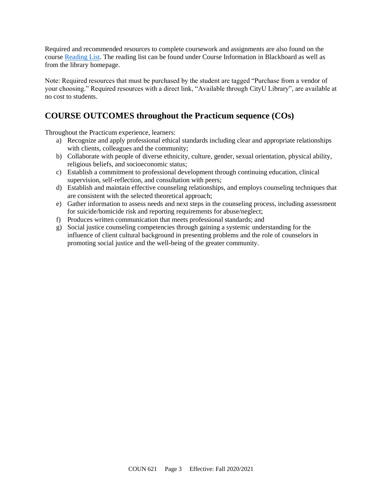Required and recommended resources to complete coursework and assignments are also found on the course [Reading List.](https://nam03.safelinks.protection.outlook.com/?url=https%3A%2F%2Fcityu.alma.exlibrisgroup.com%2Fleganto%2Flogin%3Fauth%3DSAML&data=04%7C01%7CMMara%40cityu.edu%7C70673ce0fe0144040eda08d87472e204%7Cb3fa96d9f5154662add763d854e39e63%7C1%7C0%7C637387384066198115%7CUnknown%7CTWFpbGZsb3d8eyJWIjoiMC4wLjAwMDAiLCJQIjoiV2luMzIiLCJBTiI6Ik1haWwiLCJXVCI6Mn0%3D%7C1000&sdata=JbwP%2Fm5Q%2BMgIUWa%2FXceos%2BoiLv0DX%2B%2FL%2BNGNMbX9P8E%3D&reserved=0) The reading list can be found under Course Information in Blackboard as well as from the library homepage.

Note: Required resources that must be purchased by the student are tagged "Purchase from a vendor of your choosing." Required resources with a direct link, "Available through CityU Library", are available at no cost to students.

# **COURSE OUTCOMES throughout the Practicum sequence (COs)**

Throughout the Practicum experience, learners:

- a) Recognize and apply professional ethical standards including clear and appropriate relationships with clients, colleagues and the community;
- b) Collaborate with people of diverse ethnicity, culture, gender, sexual orientation, physical ability, religious beliefs, and socioeconomic status;
- c) Establish a commitment to professional development through continuing education, clinical supervision, self-reflection, and consultation with peers;
- d) Establish and maintain effective counseling relationships, and employs counseling techniques that are consistent with the selected theoretical approach;
- e) Gather information to assess needs and next steps in the counseling process, including assessment for suicide/homicide risk and reporting requirements for abuse/neglect;
- f) Produces written communication that meets professional standards; and
- g) Social justice counseling competencies through gaining a systemic understanding for the influence of client cultural background in presenting problems and the role of counselors in promoting social justice and the well-being of the greater community.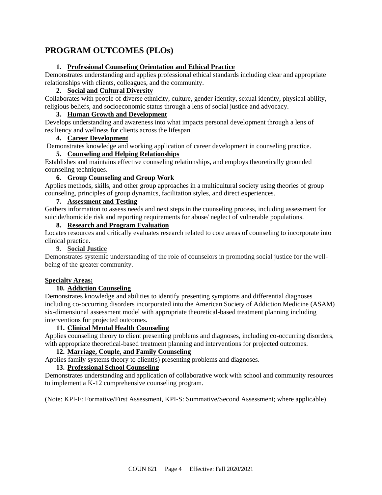# **PROGRAM OUTCOMES (PLOs)**

## **1. Professional Counseling Orientation and Ethical Practice**

Demonstrates understanding and applies professional ethical standards including clear and appropriate relationships with clients, colleagues, and the community.

### **2. Social and Cultural Diversity**

Collaborates with people of diverse ethnicity, culture, gender identity, sexual identity, physical ability, religious beliefs, and socioeconomic status through a lens of social justice and advocacy.

## **3. Human Growth and Development**

Develops understanding and awareness into what impacts personal development through a lens of resiliency and wellness for clients across the lifespan.

## **4. Career Development**

Demonstrates knowledge and working application of career development in counseling practice.

## **5. Counseling and Helping Relationships**

Establishes and maintains effective counseling relationships, and employs theoretically grounded counseling techniques.

## **6. Group Counseling and Group Work**

Applies methods, skills, and other group approaches in a multicultural society using theories of group counseling, principles of group dynamics, facilitation styles, and direct experiences.

## **7. Assessment and Testing**

Gathers information to assess needs and next steps in the counseling process, including assessment for suicide/homicide risk and reporting requirements for abuse/ neglect of vulnerable populations.

## **8. Research and Program Evaluation**

Locates resources and critically evaluates research related to core areas of counseling to incorporate into clinical practice.

## **9. Social Justice**

Demonstrates systemic understanding of the role of counselors in promoting social justice for the wellbeing of the greater community.

## **Specialty Areas:**

## **10. Addiction Counseling**

Demonstrates knowledge and abilities to identify presenting symptoms and differential diagnoses including co-occurring disorders incorporated into the American Society of Addiction Medicine (ASAM) six-dimensional assessment model with appropriate theoretical-based treatment planning including interventions for projected outcomes.

## **11. Clinical Mental Health Counseling**

Applies counseling theory to client presenting problems and diagnoses, including co-occurring disorders, with appropriate theoretical-based treatment planning and interventions for projected outcomes.

## **12. Marriage, Couple, and Family Counseling**

Applies family systems theory to client(s) presenting problems and diagnoses.

## **13. Professional School Counseling**

Demonstrates understanding and application of collaborative work with school and community resources to implement a K-12 comprehensive counseling program.

(Note: KPI-F: Formative/First Assessment, KPI-S: Summative/Second Assessment; where applicable)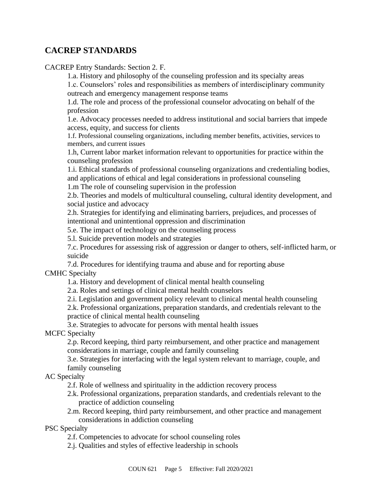## **CACREP STANDARDS**

CACREP Entry Standards: Section 2. F.

1.a. History and philosophy of the counseling profession and its specialty areas

1.c. Counselors' roles and responsibilities as members of interdisciplinary community outreach and emergency management response teams

1.d. The role and process of the professional counselor advocating on behalf of the profession

1.e. Advocacy processes needed to address institutional and social barriers that impede access, equity, and success for clients

1.f. Professional counseling organizations, including member benefits, activities, services to members, and current issues

1.h, Current labor market information relevant to opportunities for practice within the counseling profession

1.i. Ethical standards of professional counseling organizations and credentialing bodies, and applications of ethical and legal considerations in professional counseling

1.m The role of counseling supervision in the profession

2.b. Theories and models of multicultural counseling, cultural identity development, and social justice and advocacy

2.h. Strategies for identifying and eliminating barriers, prejudices, and processes of intentional and unintentional oppression and discrimination

5.e. The impact of technology on the counseling process

5.l. Suicide prevention models and strategies

7.c. Procedures for assessing risk of aggression or danger to others, self-inflicted harm, or suicide

7.d. Procedures for identifying trauma and abuse and for reporting abuse CMHC Specialty

1.a. History and development of clinical mental health counseling

2.a. Roles and settings of clinical mental health counselors

2.i. Legislation and government policy relevant to clinical mental health counseling

2.k. Professional organizations, preparation standards, and credentials relevant to the practice of clinical mental health counseling

3.e. Strategies to advocate for persons with mental health issues

MCFC Specialty

2.p. Record keeping, third party reimbursement, and other practice and management considerations in marriage, couple and family counseling

3.e. Strategies for interfacing with the legal system relevant to marriage, couple, and family counseling

AC Specialty

2.f. Role of wellness and spirituality in the addiction recovery process

- 2.k. Professional organizations, preparation standards, and credentials relevant to the practice of addiction counseling
- 2.m. Record keeping, third party reimbursement, and other practice and management considerations in addiction counseling

PSC Specialty

2.f. Competencies to advocate for school counseling roles

2.j. Qualities and styles of effective leadership in schools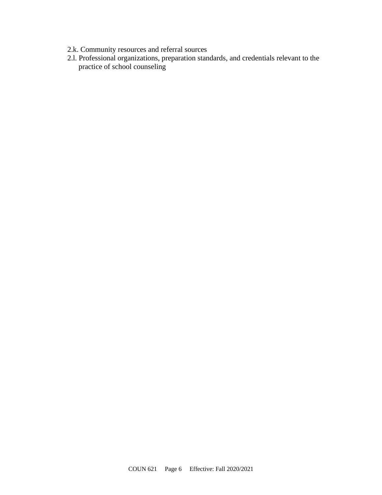- 2.k. Community resources and referral sources
- 2.l. Professional organizations, preparation standards, and credentials relevant to the practice of school counseling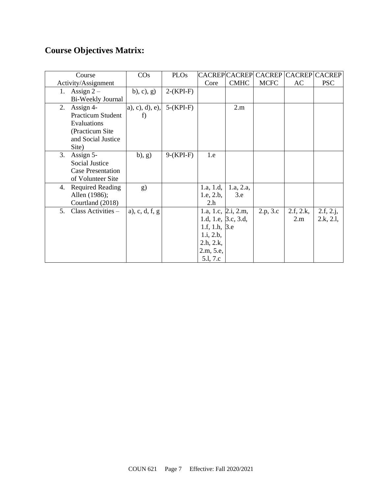# **Course Objectives Matrix:**

| Course                        | $\cos$           | <b>PLOs</b> |                      | <b>CACREP CACREP</b> | CACREP CACREP CACREP |           |            |
|-------------------------------|------------------|-------------|----------------------|----------------------|----------------------|-----------|------------|
| Activity/Assignment           |                  |             | Core                 | <b>CMHC</b>          | <b>MCFC</b>          | AC        | <b>PSC</b> |
| Assign $2-$<br>1.             | (b), c), g)      | $2-(KPI-F)$ |                      |                      |                      |           |            |
| Bi-Weekly Journal             |                  |             |                      |                      |                      |           |            |
| Assign 4-<br>2.               | a), c), d), e),  | $5-(KPI-F)$ |                      | 2.m                  |                      |           |            |
| <b>Practicum Student</b>      | f                |             |                      |                      |                      |           |            |
| Evaluations                   |                  |             |                      |                      |                      |           |            |
| (Practicum Site)              |                  |             |                      |                      |                      |           |            |
| and Social Justice            |                  |             |                      |                      |                      |           |            |
| Site)                         |                  |             |                      |                      |                      |           |            |
| 3.<br>Assign 5-               | (b), g)          | $9-(KPI-F)$ | 1.e                  |                      |                      |           |            |
| <b>Social Justice</b>         |                  |             |                      |                      |                      |           |            |
| <b>Case Presentation</b>      |                  |             |                      |                      |                      |           |            |
| of Volunteer Site             |                  |             |                      |                      |                      |           |            |
| <b>Required Reading</b><br>4. | g)               |             | 1.a, 1.d,            | 1.a, 2.a,            |                      |           |            |
| Allen (1986);                 |                  |             | 1.e, 2.b,            | 3.e                  |                      |           |            |
| Courtland (2018)              |                  |             | 2.h                  |                      |                      |           |            |
| Class Activities -<br>5.      | a), c, d, f, $g$ |             |                      | 1.a, 1.c, 2.i, 2.m,  | 2.p, 3.c             | 2.f, 2.k, | 2.f, 2.j,  |
|                               |                  |             | 1.d, 1.e, 3.c, 3.d,  |                      |                      | 2.m       | 2.k, 2.l,  |
|                               |                  |             | 1.f, 1.h, $\beta$ .e |                      |                      |           |            |
|                               |                  |             | 1.i, 2.b,            |                      |                      |           |            |
|                               |                  |             | 2.h, 2.k,            |                      |                      |           |            |
|                               |                  |             | 2.m, 5.e,            |                      |                      |           |            |
|                               |                  |             | 5.l, 7.c             |                      |                      |           |            |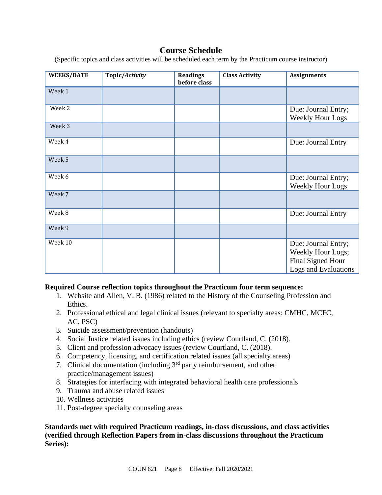# **Course Schedule**

(Specific topics and class activities will be scheduled each term by the Practicum course instructor)

| <b>WEEKS/DATE</b> | Topic/Activity | <b>Readings</b><br>before class | <b>Class Activity</b> | <b>Assignments</b>                                                                    |
|-------------------|----------------|---------------------------------|-----------------------|---------------------------------------------------------------------------------------|
| Week 1            |                |                                 |                       |                                                                                       |
| Week 2            |                |                                 |                       | Due: Journal Entry;<br>Weekly Hour Logs                                               |
| Week 3            |                |                                 |                       |                                                                                       |
| Week 4            |                |                                 |                       | Due: Journal Entry                                                                    |
| Week 5            |                |                                 |                       |                                                                                       |
| Week 6            |                |                                 |                       | Due: Journal Entry;<br><b>Weekly Hour Logs</b>                                        |
| Week 7            |                |                                 |                       |                                                                                       |
| Week 8            |                |                                 |                       | Due: Journal Entry                                                                    |
| Week 9            |                |                                 |                       |                                                                                       |
| Week 10           |                |                                 |                       | Due: Journal Entry;<br>Weekly Hour Logs;<br>Final Signed Hour<br>Logs and Evaluations |

## **Required Course reflection topics throughout the Practicum four term sequence:**

- 1. Website and Allen, V. B. (1986) related to the History of the Counseling Profession and Ethics.
- 2. Professional ethical and legal clinical issues (relevant to specialty areas: CMHC, MCFC, AC, PSC)
- 3. Suicide assessment/prevention (handouts)
- 4. Social Justice related issues including ethics (review Courtland, C. (2018).
- 5. Client and profession advocacy issues (review Courtland, C. (2018).
- 6. Competency, licensing, and certification related issues (all specialty areas)
- 7. Clinical documentation (including  $3<sup>rd</sup>$  party reimbursement, and other practice/management issues)
- 8. Strategies for interfacing with integrated behavioral health care professionals
- 9. Trauma and abuse related issues
- 10. Wellness activities
- 11. Post-degree specialty counseling areas

**Standards met with required Practicum readings, in-class discussions, and class activities (verified through Reflection Papers from in-class discussions throughout the Practicum Series):**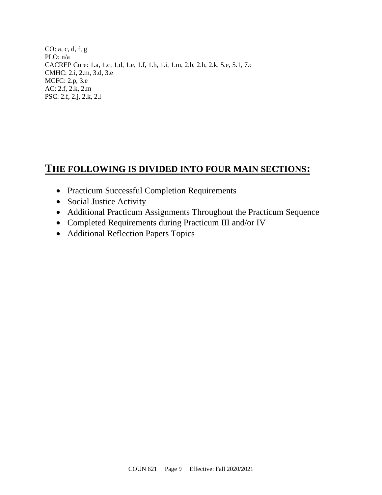CO: a, c, d, f, g PLO: n/a CACREP Core: 1.a, 1.c, 1.d, 1.e, 1.f, 1.h, 1.i, 1.m, 2.b, 2.h, 2.k, 5.e, 5.1, 7.c CMHC: 2.i, 2.m, 3.d, 3.e MCFC: 2.p, 3.e AC: 2.f, 2.k, 2.m PSC: 2.f, 2.j, 2.k, 2.l

# **THE FOLLOWING IS DIVIDED INTO FOUR MAIN SECTIONS:**

- Practicum Successful Completion Requirements
- Social Justice Activity
- Additional Practicum Assignments Throughout the Practicum Sequence
- Completed Requirements during Practicum III and/or IV
- Additional Reflection Papers Topics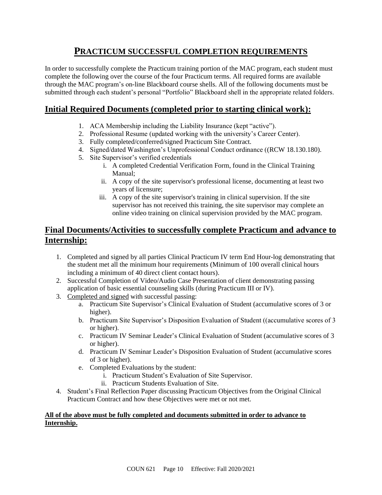# **PRACTICUM SUCCESSFUL COMPLETION REQUIREMENTS**

In order to successfully complete the Practicum training portion of the MAC program, each student must complete the following over the course of the four Practicum terms. All required forms are available through the MAC program's on-line Blackboard course shells. All of the following documents must be submitted through each student's personal "Portfolio" Blackboard shell in the appropriate related folders.

## **Initial Required Documents (completed prior to starting clinical work):**

- 1. ACA Membership including the Liability Insurance (kept "active").
- 2. Professional Resume (updated working with the university's Career Center).
- 3. Fully completed/conferred/signed Practicum Site Contract.
- 4. Signed/dated Washington's Unprofessional Conduct ordinance ((RCW 18.130.180).
- 5. Site Supervisor's verified credentials
	- i. A completed Credential Verification Form, found in the Clinical Training Manual;
	- ii. A copy of the site supervisor's professional license, documenting at least two years of licensure;
	- iii. A copy of the site supervisor's training in clinical supervision. If the site supervisor has not received this training, the site supervisor may complete an online video training on clinical supervision provided by the MAC program.

## **Final Documents/Activities to successfully complete Practicum and advance to Internship:**

- 1. Completed and signed by all parties Clinical Practicum IV term End Hour-log demonstrating that the student met all the minimum hour requirements (Minimum of 100 overall clinical hours including a minimum of 40 direct client contact hours).
- 2. Successful Completion of Video/Audio Case Presentation of client demonstrating passing application of basic essential counseling skills (during Practicum III or IV).
- 3. Completed and signed with successful passing:
	- a. Practicum Site Supervisor's Clinical Evaluation of Student (accumulative scores of 3 or higher).
	- b. Practicum Site Supervisor's Disposition Evaluation of Student ((accumulative scores of 3 or higher).
	- c. Practicum IV Seminar Leader's Clinical Evaluation of Student (accumulative scores of 3 or higher).
	- d. Practicum IV Seminar Leader's Disposition Evaluation of Student (accumulative scores of 3 or higher).
	- e. Completed Evaluations by the student:
		- i. Practicum Student's Evaluation of Site Supervisor.
		- ii. Practicum Students Evaluation of Site.
- 4. Student's Final Reflection Paper discussing Practicum Objectives from the Original Clinical Practicum Contract and how these Objectives were met or not met.

### **All of the above must be fully completed and documents submitted in order to advance to Internship.**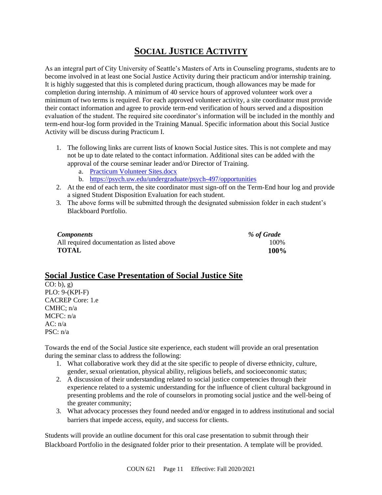# **SOCIAL JUSTICE ACTIVITY**

As an integral part of City University of Seattle's Masters of Arts in Counseling programs, students are to become involved in at least one Social Justice Activity during their practicum and/or internship training. It is highly suggested that this is completed during practicum, though allowances may be made for completion during internship. A minimum of 40 service hours of approved volunteer work over a minimum of two terms is required. For each approved volunteer activity, a site coordinator must provide their contact information and agree to provide term-end verification of hours served and a disposition evaluation of the student. The required site coordinator's information will be included in the monthly and term-end hour-log form provided in the Training Manual. Specific information about this Social Justice Activity will be discuss during Practicum I.

- 1. The following links are current lists of known Social Justice sites. This is not complete and may not be up to date related to the contact information. Additional sites can be added with the approval of the course seminar leader and/or Director of Training.
	- a. [Practicum Volunteer Sites.docx](https://courses.cityu.edu/bbcswebdav/pid-9891824-dt-content-rid-51047526_1/xid-51047526_1)
	- b. <https://psych.uw.edu/undergraduate/psych-497/opportunities>
- 2. At the end of each term, the site coordinator must sign-off on the Term-End hour log and provide a signed Student Disposition Evaluation for each student.
- 3. The above forms will be submitted through the designated submission folder in each student's Blackboard Portfolio.

| <i>Components</i>                          | % of Grade  |
|--------------------------------------------|-------------|
| All required documentation as listed above | 100%        |
| <b>TOTAL</b>                               | <b>100%</b> |

## **Social Justice Case Presentation of Social Justice Site**

 $CO: b$ , g) PLO: 9-(KPI-F) CACREP Core: 1.e CMHC; n/a MCFC: n/a  $AC: n/a$ PSC: n/a

Towards the end of the Social Justice site experience, each student will provide an oral presentation during the seminar class to address the following:

- 1. What collaborative work they did at the site specific to people of diverse ethnicity, culture, gender, sexual orientation, physical ability, religious beliefs, and socioeconomic status;
- 2. A discussion of their understanding related to social justice competencies through their experience related to a systemic understanding for the influence of client cultural background in presenting problems and the role of counselors in promoting social justice and the well-being of the greater community;
- 3. What advocacy processes they found needed and/or engaged in to address institutional and social barriers that impede access, equity, and success for clients.

Students will provide an outline document for this oral case presentation to submit through their Blackboard Portfolio in the designated folder prior to their presentation. A template will be provided.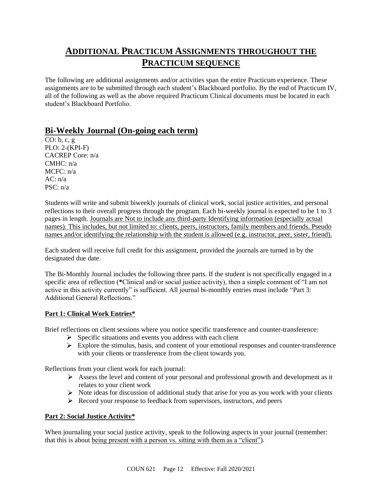# **ADDITIONAL PRACTICUM ASSIGNMENTS THROUGHOUT THE PRACTICUM SEQUENCE**

The following are additional assignments and/or activities span the entire Practicum experience. These assignments are to be submitted through each student's Blackboard portfolio. By the end of Practicum IV, all of the following as well as the above required Practicum Clinical documents must be located in each student's Blackboard Portfolio.

## **Bi-Weekly Journal (On-going each term)**

CO: b, c, g PLO: 2-(KPI-F) CACREP Core: n/a  $CMHC: n/a$  $MCFC: n/a$  $AC: n/a$ PSC: n/a

Students will write and submit biweekly journals of clinical work, social justice activities, and personal reflections to their overall progress through the program. Each bi-weekly journal is expected to be 1 to 3 pages in length. Journals are Not to include any third-party Identifying information (especially actual names). This includes, but not limited to: clients, peers, instructors, family members and friends. Pseudo names and/or identifying the relationship with the student is allowed (e.g. instructor, peer, sister, friend).

Each student will receive full credit for this assignment, provided the journals are turned in by the designated due date.

The Bi-Monthly Journal includes the following three parts. If the student is not specifically engaged in a specific area of reflection (**\***Clinical and/or social justice activity), then a simple comment of "I am not active in this activity currently" is sufficient. All journal bi-monthly entries must include "Part 3: Additional General Reflections."

### **Part 1: Clinical Work Entries\***

Brief reflections on client sessions where you notice specific transference and counter-transference:

- $\triangleright$  Specific situations and events you address with each client
- $\triangleright$  Explore the stimulus, basis, and content of your emotional responses and counter-transference with your clients or transference from the client towards you.

Reflections from your client work for each journal:

- Assess the level and content of your personal and professional growth and development as it relates to your client work
- $\triangleright$  Note ideas for discussion of additional study that arise for you as you work with your clients
- Record your response to feedback from supervisors, instructors, and peers

### **Part 2: Social Justice Activity\***

When journaling your social justice activity, speak to the following aspects in your journal (remember: that this is about being present with a person vs. sitting with them as a "client").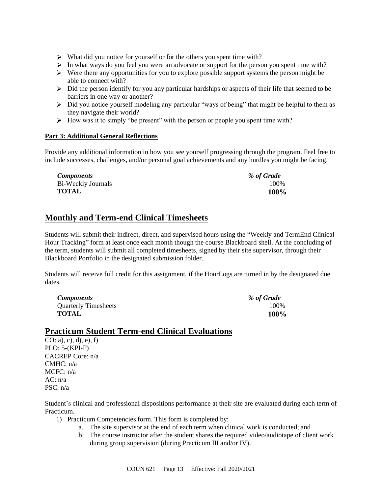- $\triangleright$  What did you notice for yourself or for the others you spent time with?
- $\triangleright$  In what ways do you feel you were an advocate or support for the person you spent time with?
- $\triangleright$  Were there any opportunities for you to explore possible support systems the person might be able to connect with?
- $\triangleright$  Did the person identify for you any particular hardships or aspects of their life that seemed to be barriers in one way or another?
- $\triangleright$  Did you notice yourself modeling any particular "ways of being" that might be helpful to them as they navigate their world?
- $\triangleright$  How was it to simply "be present" with the person or people you spent time with?

### **Part 3: Additional General Reflections**

Provide any additional information in how you see yourself progressing through the program. Feel free to include successes, challenges, and/or personal goal achievements and any hurdles you might be facing.

| <b>Components</b>  | % of Grade |
|--------------------|------------|
| Bi-Weekly Journals | 100%       |
| TOTAL              | 100%       |

## **Monthly and Term-end Clinical Timesheets**

Students will submit their indirect, direct, and supervised hours using the "Weekly and TermEnd Clinical Hour Tracking" form at least once each month though the course Blackboard shell. At the concluding of the term, students will submit all completed timesheets, signed by their site supervisor, through their Blackboard Portfolio in the designated submission folder.

Students will receive full credit for this assignment, if the HourLogs are turned in by the designated due dates.

| <b>Components</b>           | % of Grade |
|-----------------------------|------------|
| <b>Quarterly Timesheets</b> | 100%       |
| <b>TOTAL</b>                | 100%       |

## **Practicum Student Term-end Clinical Evaluations**

CO: a), c), d), e), f) PLO: 5-(KPI-F) CACREP Core: n/a CMHC: n/a  $MCFC: n/a$  $AC: n/a$ PSC: n/a

Student's clinical and professional dispositions performance at their site are evaluated during each term of Practicum.

- 1) Practicum Competencies form. This form is completed by:
	- a. The site supervisor at the end of each term when clinical work is conducted; and
	- b. The course instructor after the student shares the required video/audiotape of client work during group supervision (during Practicum III and/or IV).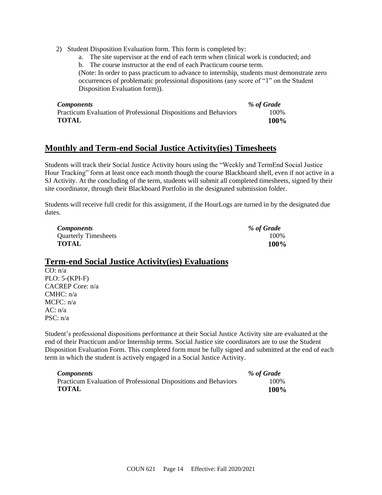2) Student Disposition Evaluation form. This form is completed by:

a. The site supervisor at the end of each term when clinical work is conducted; and

b. The course instructor at the end of each Practicum course term.

(Note: In order to pass practicum to advance to internship, students must demonstrate zero occurrences of problematic professional dispositions (any score of "1" on the Student Disposition Evaluation form)).

| <b>Components</b>                                               | % of Grade |
|-----------------------------------------------------------------|------------|
| Practicum Evaluation of Professional Dispositions and Behaviors | 100%       |
| TOTAL                                                           | 100%       |

## **Monthly and Term-end Social Justice Activity(ies) Timesheets**

Students will track their Social Justice Activity hours using the "Weekly and TermEnd Social Justice Hour Tracking" form at least once each month though the course Blackboard shell, even if not active in a SJ Activity. At the concluding of the term, students will submit all completed timesheets, signed by their site coordinator, through their Blackboard Portfolio in the designated submission folder.

Students will receive full credit for this assignment, if the HourLogs are turned in by the designated due dates.

| <b>Components</b>           | % of Grade  |
|-----------------------------|-------------|
| <b>Quarterly Timesheets</b> | 100%        |
| <b>TOTAL</b>                | <b>100%</b> |

## **Term-end Social Justice Activity(ies) Evaluations**

CO: n/a PLO: 5-(KPI-F) CACREP Core: n/a CMHC: n/a MCFC: n/a  $AC: n/a$ PSC: n/a

Student's professional dispositions performance at their Social Justice Activity site are evaluated at the end of their Practicum and/or Internship terms. Social Justice site coordinators are to use the Student Disposition Evaluation Form. This completed form must be fully signed and submitted at the end of each term in which the student is actively engaged in a Social Justice Activity.

| <b>Components</b>                                               | % of Grade  |
|-----------------------------------------------------------------|-------------|
| Practicum Evaluation of Professional Dispositions and Behaviors | 100%        |
| <b>TOTAL</b>                                                    | <b>100%</b> |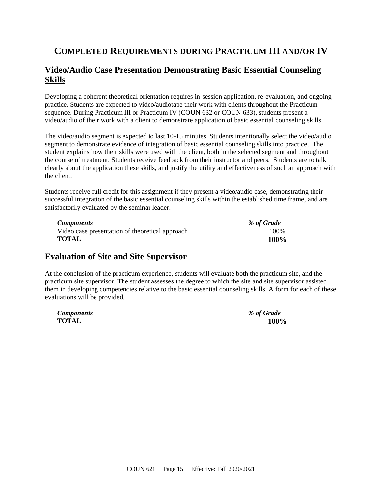# **COMPLETED REQUIREMENTS DURING PRACTICUM III AND/OR IV**

## **Video/Audio Case Presentation Demonstrating Basic Essential Counseling Skills**

Developing a coherent theoretical orientation requires in-session application, re-evaluation, and ongoing practice. Students are expected to video/audiotape their work with clients throughout the Practicum sequence. During Practicum III or Practicum IV (COUN 632 or COUN 633), students present a video/audio of their work with a client to demonstrate application of basic essential counseling skills.

The video/audio segment is expected to last 10-15 minutes. Students intentionally select the video/audio segment to demonstrate evidence of integration of basic essential counseling skills into practice. The student explains how their skills were used with the client, both in the selected segment and throughout the course of treatment. Students receive feedback from their instructor and peers. Students are to talk clearly about the application these skills, and justify the utility and effectiveness of such an approach with the client.

Students receive full credit for this assignment if they present a video/audio case, demonstrating their successful integration of the basic essential counseling skills within the established time frame, and are satisfactorily evaluated by the seminar leader.

| <i>Components</i>                               | % of Grade |
|-------------------------------------------------|------------|
| Video case presentation of theoretical approach | 100%       |
| <b>TOTAL</b>                                    | 100%       |

## **Evaluation of Site and Site Supervisor**

At the conclusion of the practicum experience, students will evaluate both the practicum site, and the practicum site supervisor. The student assesses the degree to which the site and site supervisor assisted them in developing competencies relative to the basic essential counseling skills. A form for each of these evaluations will be provided.

| <b>Components</b> | % of Grade       |
|-------------------|------------------|
| <b>TOTAL</b>      | 100 <sup>o</sup> |

| <b>Components</b> | % of Grade |
|-------------------|------------|
| <b>TOTAL</b>      | 100%       |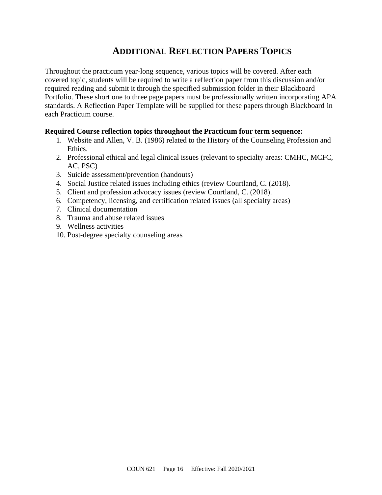# **ADDITIONAL REFLECTION PAPERS TOPICS**

Throughout the practicum year-long sequence, various topics will be covered. After each covered topic, students will be required to write a reflection paper from this discussion and/or required reading and submit it through the specified submission folder in their Blackboard Portfolio. These short one to three page papers must be professionally written incorporating APA standards. A Reflection Paper Template will be supplied for these papers through Blackboard in each Practicum course.

## **Required Course reflection topics throughout the Practicum four term sequence:**

- 1. Website and Allen, V. B. (1986) related to the History of the Counseling Profession and Ethics.
- 2. Professional ethical and legal clinical issues (relevant to specialty areas: CMHC, MCFC, AC, PSC)
- 3. Suicide assessment/prevention (handouts)
- 4. Social Justice related issues including ethics (review Courtland, C. (2018).
- 5. Client and profession advocacy issues (review Courtland, C. (2018).
- 6. Competency, licensing, and certification related issues (all specialty areas)
- 7. Clinical documentation
- 8. Trauma and abuse related issues
- 9. Wellness activities
- 10. Post-degree specialty counseling areas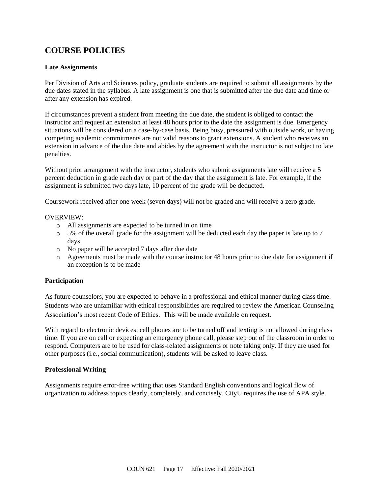# **COURSE POLICIES**

### **Late Assignments**

Per Division of Arts and Sciences policy, graduate students are required to submit all assignments by the due dates stated in the syllabus. A late assignment is one that is submitted after the due date and time or after any extension has expired.

If circumstances prevent a student from meeting the due date, the student is obliged to contact the instructor and request an extension at least 48 hours prior to the date the assignment is due. Emergency situations will be considered on a case-by-case basis. Being busy, pressured with outside work, or having competing academic commitments are not valid reasons to grant extensions. A student who receives an extension in advance of the due date and abides by the agreement with the instructor is not subject to late penalties.

Without prior arrangement with the instructor, students who submit assignments late will receive a 5 percent deduction in grade each day or part of the day that the assignment is late. For example, if the assignment is submitted two days late, 10 percent of the grade will be deducted.

Coursework received after one week (seven days) will not be graded and will receive a zero grade.

#### OVERVIEW:

- o All assignments are expected to be turned in on time
- $\circ$  5% of the overall grade for the assignment will be deducted each day the paper is late up to 7 days
- o No paper will be accepted 7 days after due date
- o Agreements must be made with the course instructor 48 hours prior to due date for assignment if an exception is to be made

### **Participation**

As future counselors, you are expected to behave in a professional and ethical manner during class time. Students who are unfamiliar with ethical responsibilities are required to review the American Counseling Association's most recent Code of Ethics. This will be made available on request.

With regard to electronic devices: cell phones are to be turned off and texting is not allowed during class time. If you are on call or expecting an emergency phone call, please step out of the classroom in order to respond. Computers are to be used for class-related assignments or note taking only. If they are used for other purposes (i.e., social communication), students will be asked to leave class.

### **Professional Writing**

Assignments require error-free writing that uses Standard English conventions and logical flow of organization to address topics clearly, completely, and concisely. CityU requires the use of APA style.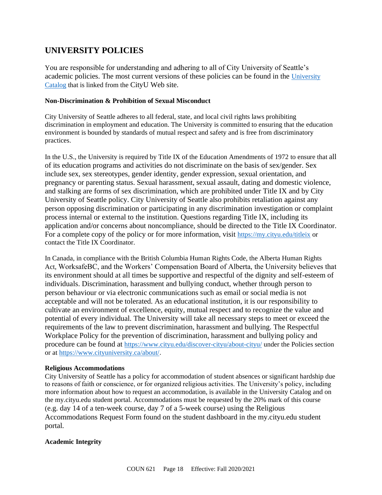# **UNIVERSITY POLICIES**

You are responsible for understanding and adhering to all of City University of Seattle's academic policies. The most current versions of these policies can be found in the [University](https://www.cityu.edu/catalog/)  [Catalog](https://www.cityu.edu/catalog/) that is linked from the CityU Web site.

#### **Non-Discrimination & Prohibition of Sexual Misconduct**

City University of Seattle adheres to all federal, state, and local civil rights laws prohibiting discrimination in employment and education. The University is committed to ensuring that the education environment is bounded by standards of mutual respect and safety and is free from discriminatory practices.

In the U.S., the University is required by Title IX of the Education Amendments of 1972 to ensure that all of its education programs and activities do not discriminate on the basis of sex/gender. Sex include sex, sex stereotypes, gender identity, gender expression, sexual orientation, and pregnancy or parenting status. Sexual harassment, sexual assault, dating and domestic violence, and stalking are forms of sex discrimination, which are prohibited under Title IX and by City University of Seattle policy. City University of Seattle also prohibits retaliation against any person opposing discrimination or participating in any discrimination investigation or complaint process internal or external to the institution. Questions regarding Title IX, including its application and/or concerns about noncompliance, should be directed to the Title IX Coordinator. For a complete copy of the policy or for more information, visit <https://my.cityu.edu/titleix> or contact the Title IX Coordinator.

In Canada, in compliance with the British Columbia Human Rights Code, the Alberta Human Rights Act, WorksafeBC, and the Workers' Compensation Board of Alberta, the University believes that its environment should at all times be supportive and respectful of the dignity and self-esteem of individuals. Discrimination, harassment and bullying conduct, whether through person to person behaviour or via electronic communications such as email or social media is not acceptable and will not be tolerated. As an educational institution, it is our responsibility to cultivate an environment of excellence, equity, mutual respect and to recognize the value and potential of every individual. The University will take all necessary steps to meet or exceed the requirements of the law to prevent discrimination, harassment and bullying. The Respectful Workplace Policy for the prevention of discrimination, harassment and bullying policy and procedure can be found at <https://www.cityu.edu/discover-cityu/about-cityu/> under the Policies section or at <https://www.cityuniversity.ca/about/>.

#### **Religious Accommodations**

City University of Seattle has a policy for accommodation of student absences or significant hardship due to reasons of faith or conscience, or for organized religious activities. The University's policy, including more information about how to request an accommodation, is available in the University Catalog and on the my.cityu.edu student portal. Accommodations must be requested by the 20% mark of this course (e.g. day 14 of a ten-week course, day 7 of a 5-week course) using the Religious Accommodations Request Form found on the student dashboard in the my.cityu.edu student portal.

### **Academic Integrity**